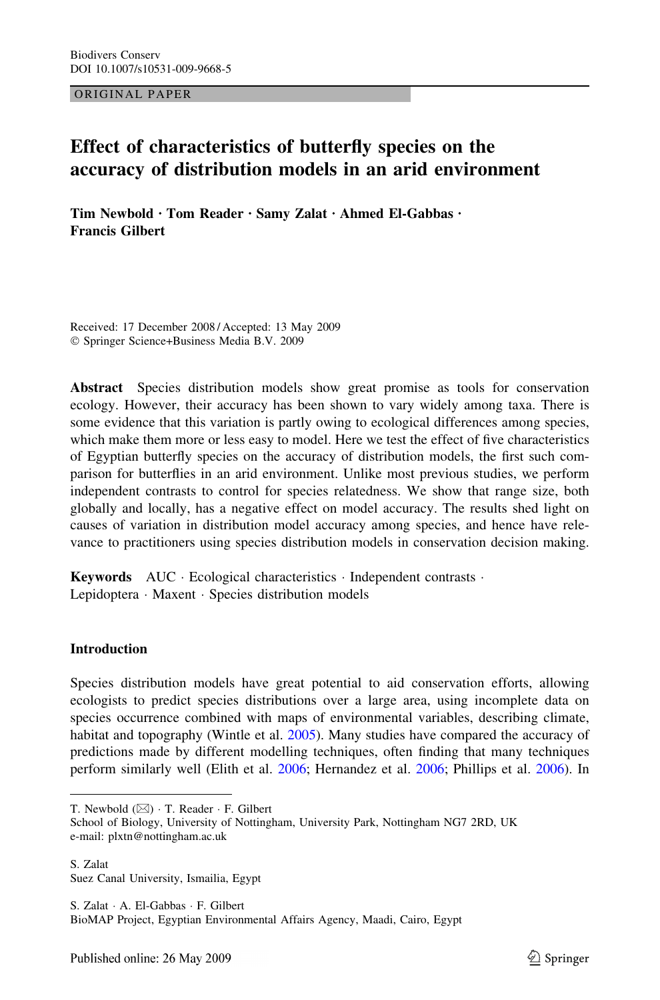ORIGINAL PAPER

# Effect of characteristics of butterfly species on the accuracy of distribution models in an arid environment

Tim Newbold · Tom Reader · Samy Zalat · Ahmed El-Gabbas · Francis Gilbert

Received: 17 December 2008 / Accepted: 13 May 2009 Springer Science+Business Media B.V. 2009

Abstract Species distribution models show great promise as tools for conservation ecology. However, their accuracy has been shown to vary widely among taxa. There is some evidence that this variation is partly owing to ecological differences among species, which make them more or less easy to model. Here we test the effect of five characteristics of Egyptian butterfly species on the accuracy of distribution models, the first such comparison for butterflies in an arid environment. Unlike most previous studies, we perform independent contrasts to control for species relatedness. We show that range size, both globally and locally, has a negative effect on model accuracy. The results shed light on causes of variation in distribution model accuracy among species, and hence have relevance to practitioners using species distribution models in conservation decision making.

Keywords AUC · Ecological characteristics · Independent contrasts · Lepidoptera · Maxent · Species distribution models

# Introduction

Species distribution models have great potential to aid conservation efforts, allowing ecologists to predict species distributions over a large area, using incomplete data on species occurrence combined with maps of environmental variables, describing climate, habitat and topography (Wintle et al. [2005](#page-12-0)). Many studies have compared the accuracy of predictions made by different modelling techniques, often finding that many techniques perform similarly well (Elith et al. [2006;](#page-10-0) Hernandez et al. [2006;](#page-10-0) Phillips et al. [2006\)](#page-11-0). In

T. Newbold ( $\boxtimes$ ) · T. Reader · F. Gilbert

School of Biology, University of Nottingham, University Park, Nottingham NG7 2RD, UK e-mail: plxtn@nottingham.ac.uk

S. Zalat Suez Canal University, Ismailia, Egypt

S. Zalat · A. El-Gabbas · F. Gilbert BioMAP Project, Egyptian Environmental Affairs Agency, Maadi, Cairo, Egypt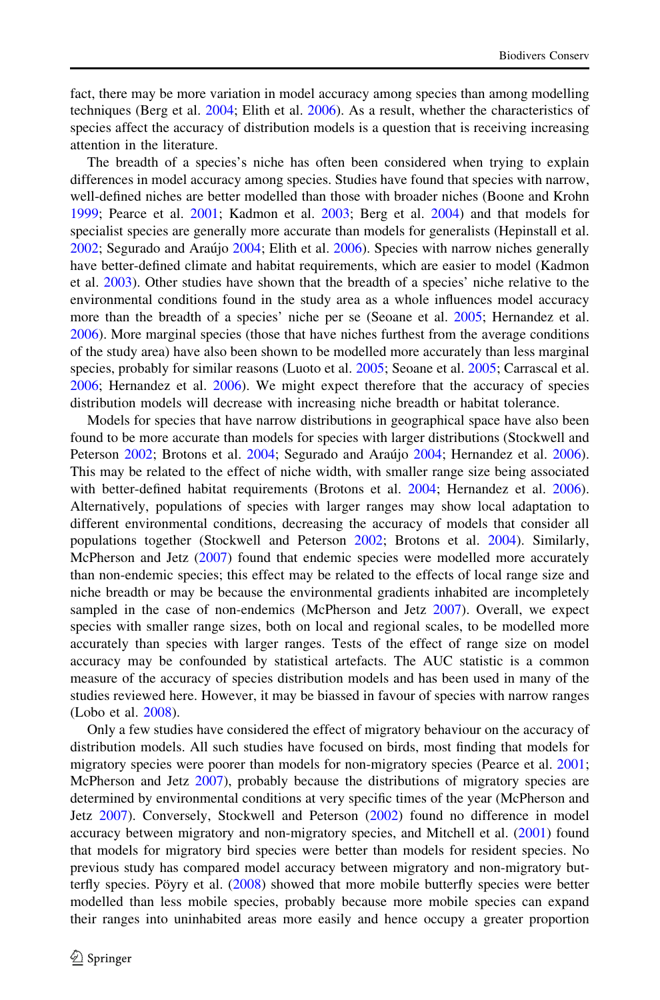fact, there may be more variation in model accuracy among species than among modelling techniques (Berg et al. [2004;](#page-10-0) Elith et al. [2006\)](#page-10-0). As a result, whether the characteristics of species affect the accuracy of distribution models is a question that is receiving increasing attention in the literature.

The breadth of a species's niche has often been considered when trying to explain differences in model accuracy among species. Studies have found that species with narrow, well-defined niches are better modelled than those with broader niches (Boone and Krohn [1999;](#page-10-0) Pearce et al. [2001;](#page-11-0) Kadmon et al. [2003](#page-10-0); Berg et al. [2004](#page-10-0)) and that models for specialist species are generally more accurate than models for generalists (Hepinstall et al. [2002;](#page-10-0) Segurado and Araújo [2004;](#page-11-0) Elith et al. [2006](#page-10-0)). Species with narrow niches generally have better-defined climate and habitat requirements, which are easier to model (Kadmon et al. [2003](#page-10-0)). Other studies have shown that the breadth of a species' niche relative to the environmental conditions found in the study area as a whole influences model accuracy more than the breadth of a species' niche per se (Seoane et al. [2005](#page-11-0); Hernandez et al. [2006\)](#page-10-0). More marginal species (those that have niches furthest from the average conditions of the study area) have also been shown to be modelled more accurately than less marginal species, probably for similar reasons (Luoto et al. [2005](#page-11-0); Seoane et al. [2005;](#page-11-0) Carrascal et al. [2006;](#page-10-0) Hernandez et al. [2006\)](#page-10-0). We might expect therefore that the accuracy of species distribution models will decrease with increasing niche breadth or habitat tolerance.

Models for species that have narrow distributions in geographical space have also been found to be more accurate than models for species with larger distributions (Stockwell and Peterson [2002;](#page-11-0) Brotons et al. [2004](#page-11-0); Segurado and Araújo 2004; Hernandez et al. [2006](#page-10-0)). This may be related to the effect of niche width, with smaller range size being associated with better-defined habitat requirements (Brotons et al. [2004;](#page-10-0) Hernandez et al. [2006](#page-10-0)). Alternatively, populations of species with larger ranges may show local adaptation to different environmental conditions, decreasing the accuracy of models that consider all populations together (Stockwell and Peterson [2002](#page-11-0); Brotons et al. [2004](#page-10-0)). Similarly, McPherson and Jetz ([2007](#page-11-0)) found that endemic species were modelled more accurately than non-endemic species; this effect may be related to the effects of local range size and niche breadth or may be because the environmental gradients inhabited are incompletely sampled in the case of non-endemics (McPherson and Jetz [2007](#page-11-0)). Overall, we expect species with smaller range sizes, both on local and regional scales, to be modelled more accurately than species with larger ranges. Tests of the effect of range size on model accuracy may be confounded by statistical artefacts. The AUC statistic is a common measure of the accuracy of species distribution models and has been used in many of the studies reviewed here. However, it may be biassed in favour of species with narrow ranges (Lobo et al. [2008](#page-11-0)).

Only a few studies have considered the effect of migratory behaviour on the accuracy of distribution models. All such studies have focused on birds, most finding that models for migratory species were poorer than models for non-migratory species (Pearce et al. [2001;](#page-11-0) McPherson and Jetz [2007\)](#page-11-0), probably because the distributions of migratory species are determined by environmental conditions at very specific times of the year (McPherson and Jetz [2007](#page-11-0)). Conversely, Stockwell and Peterson [\(2002](#page-11-0)) found no difference in model accuracy between migratory and non-migratory species, and Mitchell et al. [\(2001](#page-11-0)) found that models for migratory bird species were better than models for resident species. No previous study has compared model accuracy between migratory and non-migratory butterfly species. Pöyry et al.  $(2008)$  $(2008)$  showed that more mobile butterfly species were better modelled than less mobile species, probably because more mobile species can expand their ranges into uninhabited areas more easily and hence occupy a greater proportion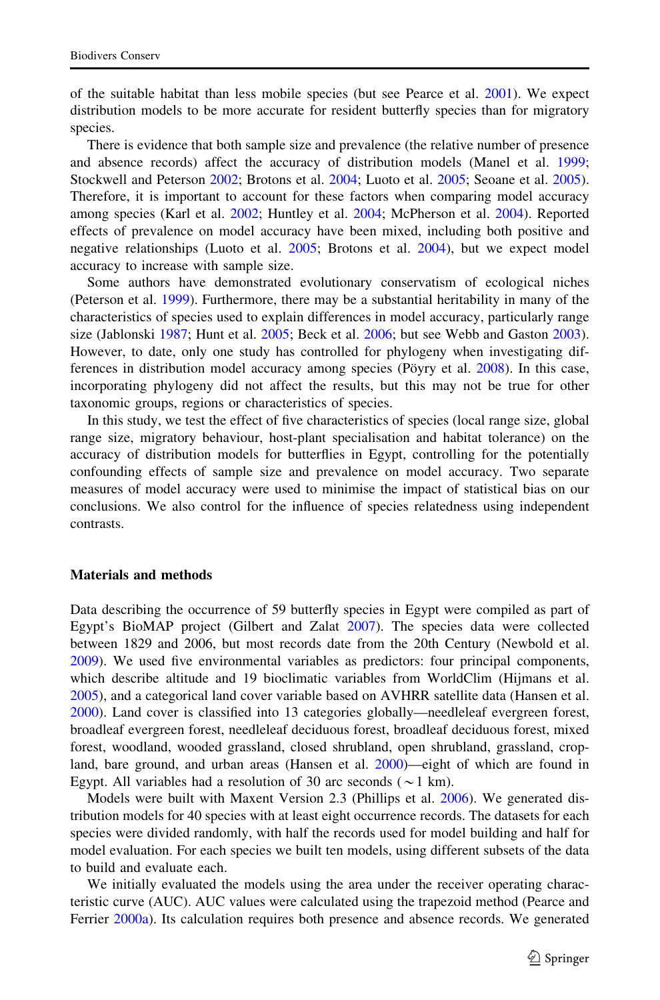of the suitable habitat than less mobile species (but see Pearce et al. [2001\)](#page-11-0). We expect distribution models to be more accurate for resident butterfly species than for migratory species.

There is evidence that both sample size and prevalence (the relative number of presence and absence records) affect the accuracy of distribution models (Manel et al. [1999;](#page-11-0) Stockwell and Peterson [2002;](#page-11-0) Brotons et al. [2004](#page-10-0); Luoto et al. [2005](#page-11-0); Seoane et al. [2005](#page-11-0)). Therefore, it is important to account for these factors when comparing model accuracy among species (Karl et al. [2002](#page-10-0); Huntley et al. [2004](#page-10-0); McPherson et al. [2004\)](#page-11-0). Reported effects of prevalence on model accuracy have been mixed, including both positive and negative relationships (Luoto et al. [2005](#page-11-0); Brotons et al. [2004](#page-10-0)), but we expect model accuracy to increase with sample size.

Some authors have demonstrated evolutionary conservatism of ecological niches (Peterson et al. [1999](#page-11-0)). Furthermore, there may be a substantial heritability in many of the characteristics of species used to explain differences in model accuracy, particularly range size (Jablonski [1987](#page-10-0); Hunt et al. [2005;](#page-10-0) Beck et al. [2006](#page-9-0); but see Webb and Gaston [2003](#page-12-0)). However, to date, only one study has controlled for phylogeny when investigating dif-ferences in distribution model accuracy among species (Pöyry et al. [2008](#page-11-0)). In this case, incorporating phylogeny did not affect the results, but this may not be true for other taxonomic groups, regions or characteristics of species.

In this study, we test the effect of five characteristics of species (local range size, global range size, migratory behaviour, host-plant specialisation and habitat tolerance) on the accuracy of distribution models for butterflies in Egypt, controlling for the potentially confounding effects of sample size and prevalence on model accuracy. Two separate measures of model accuracy were used to minimise the impact of statistical bias on our conclusions. We also control for the influence of species relatedness using independent contrasts.

# Materials and methods

Data describing the occurrence of 59 butterfly species in Egypt were compiled as part of Egypt's BioMAP project (Gilbert and Zalat [2007](#page-10-0)). The species data were collected between 1829 and 2006, but most records date from the 20th Century (Newbold et al. [2009\)](#page-11-0). We used five environmental variables as predictors: four principal components, which describe altitude and 19 bioclimatic variables from WorldClim (Hijmans et al. [2005\)](#page-10-0), and a categorical land cover variable based on AVHRR satellite data (Hansen et al. [2000\)](#page-10-0). Land cover is classified into 13 categories globally—needleleaf evergreen forest, broadleaf evergreen forest, needleleaf deciduous forest, broadleaf deciduous forest, mixed forest, woodland, wooded grassland, closed shrubland, open shrubland, grassland, cropland, bare ground, and urban areas (Hansen et al. [2000\)](#page-10-0)—eight of which are found in Egypt. All variables had a resolution of 30 arc seconds  $(\sim 1 \text{ km})$ .

Models were built with Maxent Version 2.3 (Phillips et al. [2006](#page-11-0)). We generated distribution models for 40 species with at least eight occurrence records. The datasets for each species were divided randomly, with half the records used for model building and half for model evaluation. For each species we built ten models, using different subsets of the data to build and evaluate each.

We initially evaluated the models using the area under the receiver operating characteristic curve (AUC). AUC values were calculated using the trapezoid method (Pearce and Ferrier [2000a\)](#page-11-0). Its calculation requires both presence and absence records. We generated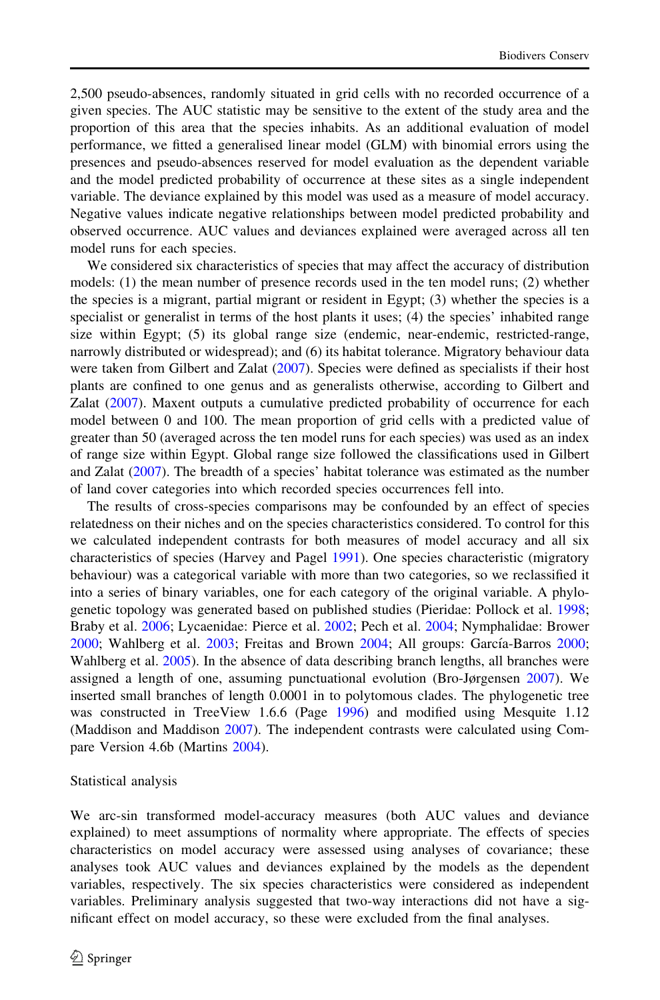2,500 pseudo-absences, randomly situated in grid cells with no recorded occurrence of a given species. The AUC statistic may be sensitive to the extent of the study area and the proportion of this area that the species inhabits. As an additional evaluation of model performance, we fitted a generalised linear model (GLM) with binomial errors using the presences and pseudo-absences reserved for model evaluation as the dependent variable and the model predicted probability of occurrence at these sites as a single independent variable. The deviance explained by this model was used as a measure of model accuracy. Negative values indicate negative relationships between model predicted probability and observed occurrence. AUC values and deviances explained were averaged across all ten model runs for each species.

We considered six characteristics of species that may affect the accuracy of distribution models: (1) the mean number of presence records used in the ten model runs; (2) whether the species is a migrant, partial migrant or resident in Egypt; (3) whether the species is a specialist or generalist in terms of the host plants it uses; (4) the species' inhabited range size within Egypt; (5) its global range size (endemic, near-endemic, restricted-range, narrowly distributed or widespread); and (6) its habitat tolerance. Migratory behaviour data were taken from Gilbert and Zalat [\(2007](#page-10-0)). Species were defined as specialists if their host plants are confined to one genus and as generalists otherwise, according to Gilbert and Zalat [\(2007](#page-10-0)). Maxent outputs a cumulative predicted probability of occurrence for each model between 0 and 100. The mean proportion of grid cells with a predicted value of greater than 50 (averaged across the ten model runs for each species) was used as an index of range size within Egypt. Global range size followed the classifications used in Gilbert and Zalat ([2007\)](#page-10-0). The breadth of a species' habitat tolerance was estimated as the number of land cover categories into which recorded species occurrences fell into.

The results of cross-species comparisons may be confounded by an effect of species relatedness on their niches and on the species characteristics considered. To control for this we calculated independent contrasts for both measures of model accuracy and all six characteristics of species (Harvey and Pagel [1991](#page-10-0)). One species characteristic (migratory behaviour) was a categorical variable with more than two categories, so we reclassified it into a series of binary variables, one for each category of the original variable. A phylogenetic topology was generated based on published studies (Pieridae: Pollock et al. [1998;](#page-11-0) Braby et al. [2006](#page-10-0); Lycaenidae: Pierce et al. [2002](#page-11-0); Pech et al. [2004](#page-11-0); Nymphalidae: Brower [2000;](#page-10-0) Wahlberg et al. [2003](#page-12-0); Freitas and Brown [2004;](#page-10-0) All groups: García-Barros 2000; Wahlberg et al. [2005](#page-12-0)). In the absence of data describing branch lengths, all branches were assigned a length of one, assuming punctuational evolution (Bro-Jørgensen [2007\)](#page-10-0). We inserted small branches of length 0.0001 in to polytomous clades. The phylogenetic tree was constructed in TreeView 1.6.6 (Page [1996\)](#page-11-0) and modified using Mesquite 1.12 (Maddison and Maddison [2007\)](#page-11-0). The independent contrasts were calculated using Compare Version 4.6b (Martins [2004\)](#page-11-0).

# Statistical analysis

We arc-sin transformed model-accuracy measures (both AUC values and deviance explained) to meet assumptions of normality where appropriate. The effects of species characteristics on model accuracy were assessed using analyses of covariance; these analyses took AUC values and deviances explained by the models as the dependent variables, respectively. The six species characteristics were considered as independent variables. Preliminary analysis suggested that two-way interactions did not have a significant effect on model accuracy, so these were excluded from the final analyses.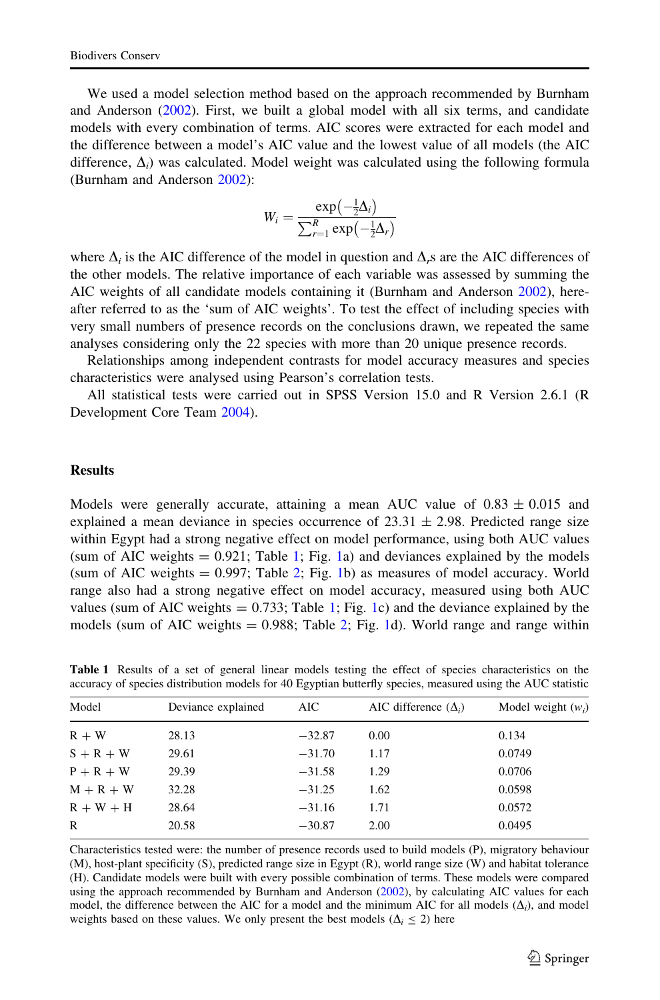We used a model selection method based on the approach recommended by Burnham and Anderson ([2002](#page-10-0)). First, we built a global model with all six terms, and candidate models with every combination of terms. AIC scores were extracted for each model and the difference between a model's AIC value and the lowest value of all models (the AIC difference,  $\Delta_i$ ) was calculated. Model weight was calculated using the following formula (Burnham and Anderson [2002](#page-10-0)):

$$
W_i = \frac{\exp(-\frac{1}{2}\Delta_i)}{\sum_{r=1}^R \exp(-\frac{1}{2}\Delta_r)}
$$

where  $\Delta_i$  is the AIC difference of the model in question and  $\Delta_i$  are the AIC differences of the other models. The relative importance of each variable was assessed by summing the AIC weights of all candidate models containing it (Burnham and Anderson [2002](#page-10-0)), hereafter referred to as the 'sum of AIC weights'. To test the effect of including species with very small numbers of presence records on the conclusions drawn, we repeated the same analyses considering only the 22 species with more than 20 unique presence records.

Relationships among independent contrasts for model accuracy measures and species characteristics were analysed using Pearson's correlation tests.

All statistical tests were carried out in SPSS Version 15.0 and R Version 2.6.1 (R Development Core Team [2004](#page-11-0)).

#### **Results**

Models were generally accurate, attaining a mean AUC value of  $0.83 \pm 0.015$  and explained a mean deviance in species occurrence of  $23.31 \pm 2.98$ . Predicted range size within Egypt had a strong negative effect on model performance, using both AUC values (sum of AIC weights  $= 0.921$ ; Table 1; Fig. [1a](#page-5-0)) and deviances explained by the models (sum of AIC weights  $= 0.997$ ; Table [2](#page-5-0); Fig. [1b](#page-5-0)) as measures of model accuracy. World range also had a strong negative effect on model accuracy, measured using both AUC values (sum of AIC weights  $= 0.733$ ; Table [1](#page-5-0); Fig. 1c) and the deviance explained by the models (sum of AIC weights  $= 0.988$ ; Table [2](#page-5-0); Fig. [1](#page-5-0)d). World range and range within

| Model       | Deviance explained | AIC      | AIC difference $(\Delta_i)$ | Model weight $(w_i)$ |
|-------------|--------------------|----------|-----------------------------|----------------------|
| $R + W$     | 28.13              | $-32.87$ | 0.00                        | 0.134                |
| $S + R + W$ | 29.61              | $-31.70$ | 1.17                        | 0.0749               |
| $P + R + W$ | 29.39              | $-31.58$ | 1.29                        | 0.0706               |
| $M + R + W$ | 32.28              | $-31.25$ | 1.62                        | 0.0598               |
| $R + W + H$ | 28.64              | $-31.16$ | 1.71                        | 0.0572               |
| R           | 20.58              | $-30.87$ | 2.00                        | 0.0495               |
|             |                    |          |                             |                      |

Table 1 Results of a set of general linear models testing the effect of species characteristics on the accuracy of species distribution models for 40 Egyptian butterfly species, measured using the AUC statistic

Characteristics tested were: the number of presence records used to build models (P), migratory behaviour (M), host-plant specificity (S), predicted range size in Egypt (R), world range size (W) and habitat tolerance (H). Candidate models were built with every possible combination of terms. These models were compared using the approach recommended by Burnham and Anderson ([2002](#page-10-0)), by calculating AIC values for each model, the difference between the AIC for a model and the minimum AIC for all models  $(\Delta_i)$ , and model weights based on these values. We only present the best models ( $\Delta_i \le 2$ ) here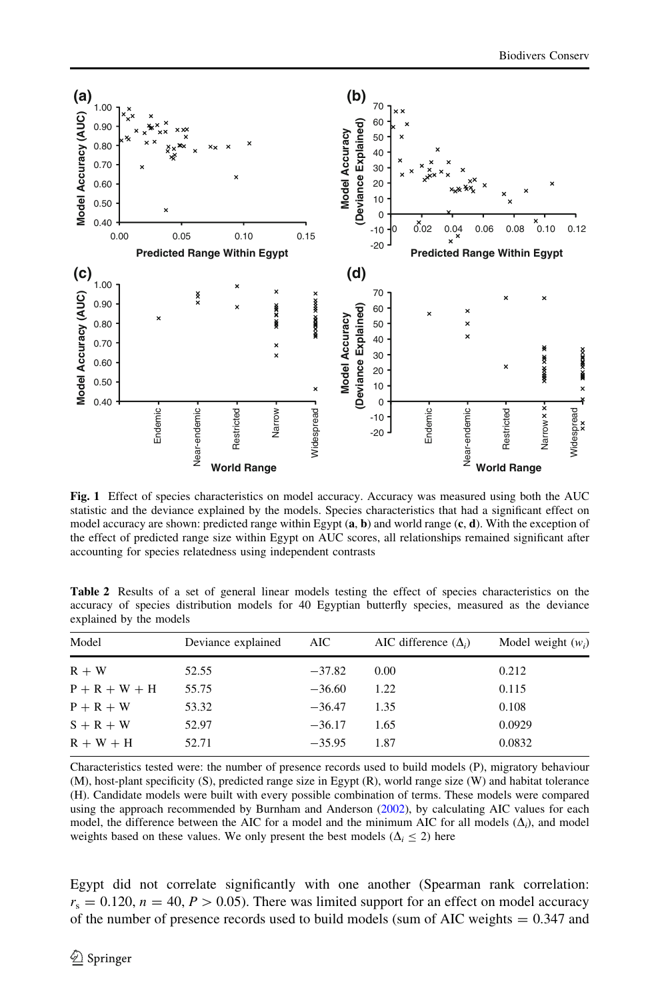<span id="page-5-0"></span>

Fig. 1 Effect of species characteristics on model accuracy. Accuracy was measured using both the AUC statistic and the deviance explained by the models. Species characteristics that had a significant effect on model accuracy are shown: predicted range within Egypt (a, b) and world range (c, d). With the exception of the effect of predicted range size within Egypt on AUC scores, all relationships remained significant after accounting for species relatedness using independent contrasts

Table 2 Results of a set of general linear models testing the effect of species characteristics on the accuracy of species distribution models for 40 Egyptian butterfly species, measured as the deviance explained by the models

| Model           | Deviance explained | AIC      | AIC difference $(\Delta_i)$ | Model weight $(w_i)$ |
|-----------------|--------------------|----------|-----------------------------|----------------------|
| $R + W$         | 52.55              | $-37.82$ | 0.00                        | 0.212                |
| $P + R + W + H$ | 55.75              | $-36.60$ | 1.22                        | 0.115                |
| $P + R + W$     | 53.32              | $-36.47$ | 1.35                        | 0.108                |
| $S + R + W$     | 52.97              | $-36.17$ | 1.65                        | 0.0929               |
| $R + W + H$     | 52.71              | $-35.95$ | 1.87                        | 0.0832               |
|                 |                    |          |                             |                      |

Characteristics tested were: the number of presence records used to build models (P), migratory behaviour (M), host-plant specificity (S), predicted range size in Egypt (R), world range size (W) and habitat tolerance (H). Candidate models were built with every possible combination of terms. These models were compared using the approach recommended by Burnham and Anderson ([2002\)](#page-10-0), by calculating AIC values for each model, the difference between the AIC for a model and the minimum AIC for all models  $(\Delta_i)$ , and model weights based on these values. We only present the best models ( $\Delta_i \le 2$ ) here

Egypt did not correlate significantly with one another (Spearman rank correlation:  $r_s = 0.120$ ,  $n = 40$ ,  $P > 0.05$ ). There was limited support for an effect on model accuracy of the number of presence records used to build models (sum of AIC weights  $= 0.347$  and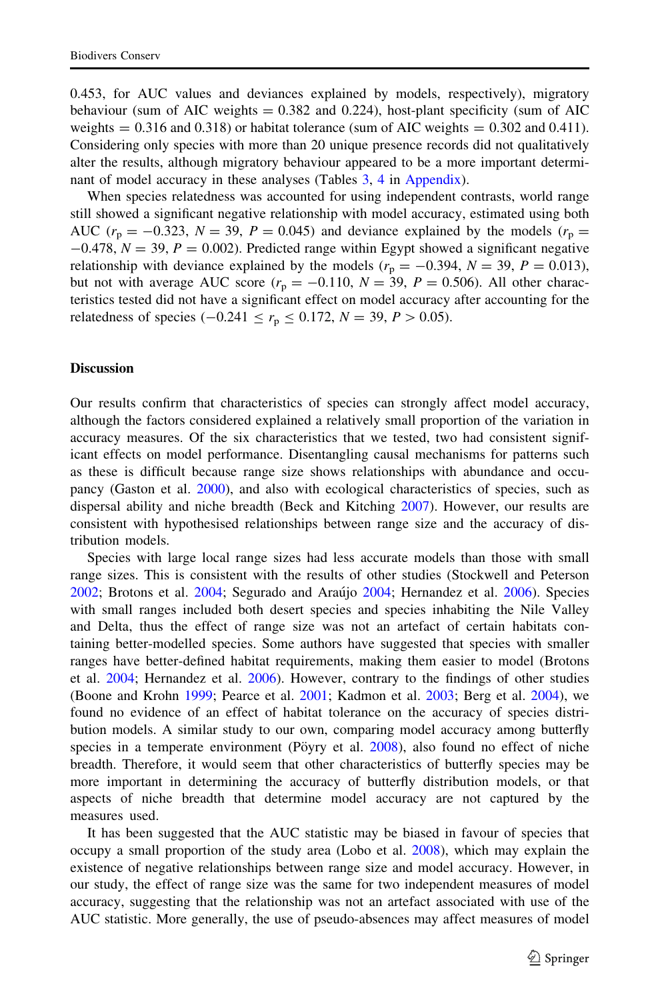0.453, for AUC values and deviances explained by models, respectively), migratory behaviour (sum of AIC weights  $= 0.382$  and 0.224), host-plant specificity (sum of AIC weights  $= 0.316$  and 0.318) or habitat tolerance (sum of AIC weights  $= 0.302$  and 0.411). Considering only species with more than 20 unique presence records did not qualitatively alter the results, although migratory behaviour appeared to be a more important determinant of model accuracy in these analyses (Tables [3,](#page-9-0) [4](#page-9-0) in [Appendix](#page-8-0)).

When species relatedness was accounted for using independent contrasts, world range still showed a significant negative relationship with model accuracy, estimated using both AUC ( $r_p = -0.323$ ,  $N = 39$ ,  $P = 0.045$ ) and deviance explained by the models ( $r_p =$  $-0.478$ ,  $N = 39$ ,  $P = 0.002$ ). Predicted range within Egypt showed a significant negative relationship with deviance explained by the models  $(r_p = -0.394, N = 39, P = 0.013)$ , but not with average AUC score  $(r_p = -0.110, N = 39, P = 0.506)$ . All other characteristics tested did not have a significant effect on model accuracy after accounting for the relatedness of species  $(-0.241 \le r_p \le 0.172, N = 39, P > 0.05)$ .

#### **Discussion**

Our results confirm that characteristics of species can strongly affect model accuracy, although the factors considered explained a relatively small proportion of the variation in accuracy measures. Of the six characteristics that we tested, two had consistent significant effects on model performance. Disentangling causal mechanisms for patterns such as these is difficult because range size shows relationships with abundance and occupancy (Gaston et al. [2000](#page-10-0)), and also with ecological characteristics of species, such as dispersal ability and niche breadth (Beck and Kitching [2007](#page-9-0)). However, our results are consistent with hypothesised relationships between range size and the accuracy of distribution models.

Species with large local range sizes had less accurate models than those with small range sizes. This is consistent with the results of other studies (Stockwell and Peterson [2002;](#page-11-0) Brotons et al. [2004](#page-10-0); Segurado and Araújo [2004;](#page-11-0) Hernandez et al. [2006](#page-10-0)). Species with small ranges included both desert species and species inhabiting the Nile Valley and Delta, thus the effect of range size was not an artefact of certain habitats containing better-modelled species. Some authors have suggested that species with smaller ranges have better-defined habitat requirements, making them easier to model (Brotons et al. [2004;](#page-10-0) Hernandez et al. [2006](#page-10-0)). However, contrary to the findings of other studies (Boone and Krohn [1999;](#page-10-0) Pearce et al. [2001;](#page-11-0) Kadmon et al. [2003;](#page-10-0) Berg et al. [2004\)](#page-10-0), we found no evidence of an effect of habitat tolerance on the accuracy of species distribution models. A similar study to our own, comparing model accuracy among butterfly species in a temperate environment (Pöyry et al.  $2008$ ), also found no effect of niche breadth. Therefore, it would seem that other characteristics of butterfly species may be more important in determining the accuracy of butterfly distribution models, or that aspects of niche breadth that determine model accuracy are not captured by the measures used.

It has been suggested that the AUC statistic may be biased in favour of species that occupy a small proportion of the study area (Lobo et al. [2008](#page-11-0)), which may explain the existence of negative relationships between range size and model accuracy. However, in our study, the effect of range size was the same for two independent measures of model accuracy, suggesting that the relationship was not an artefact associated with use of the AUC statistic. More generally, the use of pseudo-absences may affect measures of model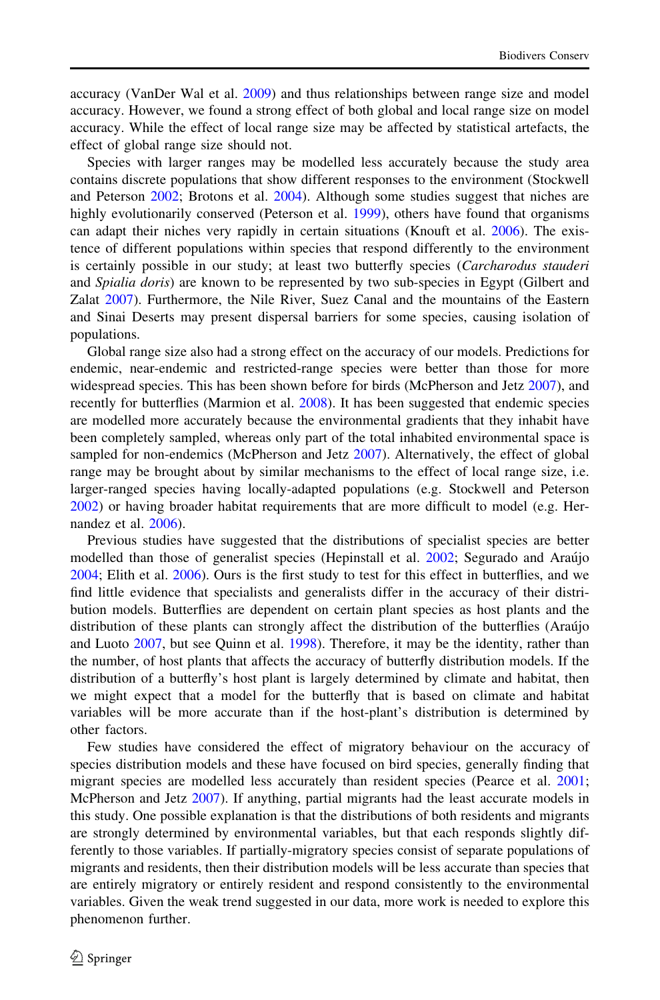accuracy (VanDer Wal et al. [2009\)](#page-12-0) and thus relationships between range size and model accuracy. However, we found a strong effect of both global and local range size on model accuracy. While the effect of local range size may be affected by statistical artefacts, the effect of global range size should not.

Species with larger ranges may be modelled less accurately because the study area contains discrete populations that show different responses to the environment (Stockwell and Peterson [2002](#page-11-0); Brotons et al. [2004](#page-10-0)). Although some studies suggest that niches are highly evolutionarily conserved (Peterson et al. [1999\)](#page-11-0), others have found that organisms can adapt their niches very rapidly in certain situations (Knouft et al. [2006](#page-10-0)). The existence of different populations within species that respond differently to the environment is certainly possible in our study; at least two butterfly species (Carcharodus stauderi and Spialia doris) are known to be represented by two sub-species in Egypt (Gilbert and Zalat [2007\)](#page-10-0). Furthermore, the Nile River, Suez Canal and the mountains of the Eastern and Sinai Deserts may present dispersal barriers for some species, causing isolation of populations.

Global range size also had a strong effect on the accuracy of our models. Predictions for endemic, near-endemic and restricted-range species were better than those for more widespread species. This has been shown before for birds (McPherson and Jetz [2007\)](#page-11-0), and recently for butterflies (Marmion et al. [2008](#page-11-0)). It has been suggested that endemic species are modelled more accurately because the environmental gradients that they inhabit have been completely sampled, whereas only part of the total inhabited environmental space is sampled for non-endemics (McPherson and Jetz [2007](#page-11-0)). Alternatively, the effect of global range may be brought about by similar mechanisms to the effect of local range size, i.e. larger-ranged species having locally-adapted populations (e.g. Stockwell and Peterson [2002\)](#page-11-0) or having broader habitat requirements that are more difficult to model (e.g. Hernandez et al. [2006](#page-10-0)).

Previous studies have suggested that the distributions of specialist species are better modelled than those of generalist species (Hepinstall et al. [2002;](#page-10-0) Segurado and Araújo [2004;](#page-11-0) Elith et al. [2006](#page-10-0)). Ours is the first study to test for this effect in butterflies, and we find little evidence that specialists and generalists differ in the accuracy of their distribution models. Butterflies are dependent on certain plant species as host plants and the distribution of these plants can strongly affect the distribution of the butterflies (Araújo and Luoto [2007](#page-9-0), but see Quinn et al. [1998](#page-11-0)). Therefore, it may be the identity, rather than the number, of host plants that affects the accuracy of butterfly distribution models. If the distribution of a butterfly's host plant is largely determined by climate and habitat, then we might expect that a model for the butterfly that is based on climate and habitat variables will be more accurate than if the host-plant's distribution is determined by other factors.

Few studies have considered the effect of migratory behaviour on the accuracy of species distribution models and these have focused on bird species, generally finding that migrant species are modelled less accurately than resident species (Pearce et al. [2001;](#page-11-0) McPherson and Jetz [2007\)](#page-11-0). If anything, partial migrants had the least accurate models in this study. One possible explanation is that the distributions of both residents and migrants are strongly determined by environmental variables, but that each responds slightly differently to those variables. If partially-migratory species consist of separate populations of migrants and residents, then their distribution models will be less accurate than species that are entirely migratory or entirely resident and respond consistently to the environmental variables. Given the weak trend suggested in our data, more work is needed to explore this phenomenon further.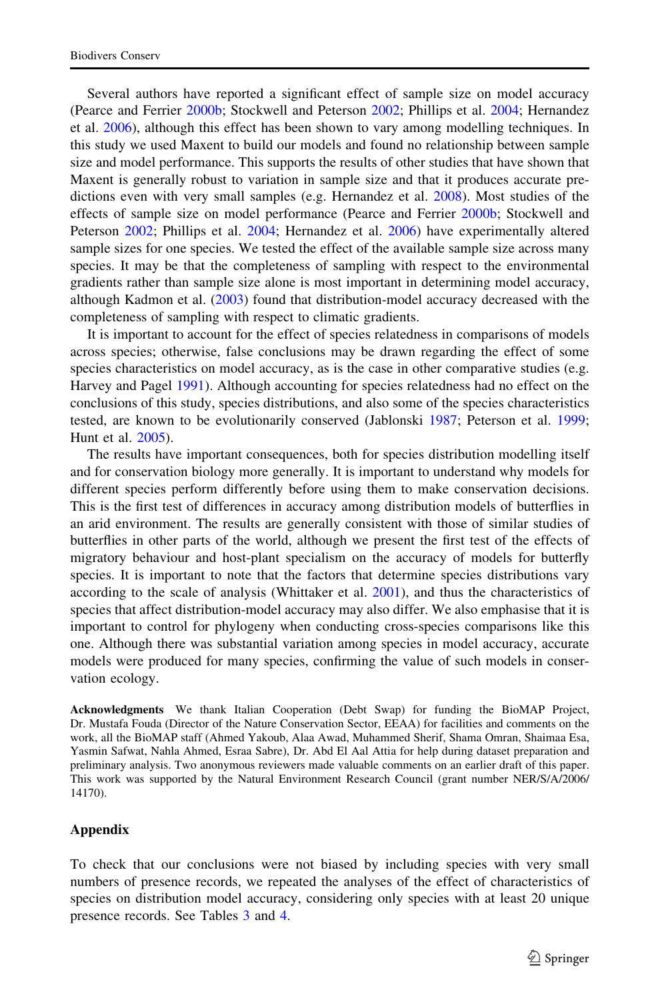<span id="page-8-0"></span>Several authors have reported a significant effect of sample size on model accuracy (Pearce and Ferrier [2000b;](#page-11-0) Stockwell and Peterson [2002](#page-11-0); Phillips et al. [2004;](#page-11-0) Hernandez et al. [2006\)](#page-10-0), although this effect has been shown to vary among modelling techniques. In this study we used Maxent to build our models and found no relationship between sample size and model performance. This supports the results of other studies that have shown that Maxent is generally robust to variation in sample size and that it produces accurate predictions even with very small samples (e.g. Hernandez et al. [2008\)](#page-10-0). Most studies of the effects of sample size on model performance (Pearce and Ferrier [2000b](#page-11-0); Stockwell and Peterson [2002](#page-11-0); Phillips et al. [2004;](#page-11-0) Hernandez et al. [2006](#page-10-0)) have experimentally altered sample sizes for one species. We tested the effect of the available sample size across many species. It may be that the completeness of sampling with respect to the environmental gradients rather than sample size alone is most important in determining model accuracy, although Kadmon et al. [\(2003](#page-10-0)) found that distribution-model accuracy decreased with the completeness of sampling with respect to climatic gradients.

It is important to account for the effect of species relatedness in comparisons of models across species; otherwise, false conclusions may be drawn regarding the effect of some species characteristics on model accuracy, as is the case in other comparative studies (e.g. Harvey and Pagel [1991](#page-10-0)). Although accounting for species relatedness had no effect on the conclusions of this study, species distributions, and also some of the species characteristics tested, are known to be evolutionarily conserved (Jablonski [1987;](#page-10-0) Peterson et al. [1999;](#page-11-0) Hunt et al. [2005](#page-10-0)).

The results have important consequences, both for species distribution modelling itself and for conservation biology more generally. It is important to understand why models for different species perform differently before using them to make conservation decisions. This is the first test of differences in accuracy among distribution models of butterflies in an arid environment. The results are generally consistent with those of similar studies of butterflies in other parts of the world, although we present the first test of the effects of migratory behaviour and host-plant specialism on the accuracy of models for butterfly species. It is important to note that the factors that determine species distributions vary according to the scale of analysis (Whittaker et al. [2001](#page-12-0)), and thus the characteristics of species that affect distribution-model accuracy may also differ. We also emphasise that it is important to control for phylogeny when conducting cross-species comparisons like this one. Although there was substantial variation among species in model accuracy, accurate models were produced for many species, confirming the value of such models in conservation ecology.

Acknowledgments We thank Italian Cooperation (Debt Swap) for funding the BioMAP Project, Dr. Mustafa Fouda (Director of the Nature Conservation Sector, EEAA) for facilities and comments on the work, all the BioMAP staff (Ahmed Yakoub, Alaa Awad, Muhammed Sherif, Shama Omran, Shaimaa Esa, Yasmin Safwat, Nahla Ahmed, Esraa Sabre), Dr. Abd El Aal Attia for help during dataset preparation and preliminary analysis. Two anonymous reviewers made valuable comments on an earlier draft of this paper. This work was supported by the Natural Environment Research Council (grant number NER/S/A/2006/ 14170).

# Appendix

To check that our conclusions were not biased by including species with very small numbers of presence records, we repeated the analyses of the effect of characteristics of species on distribution model accuracy, considering only species with at least 20 unique presence records. See Tables [3](#page-9-0) and [4](#page-9-0).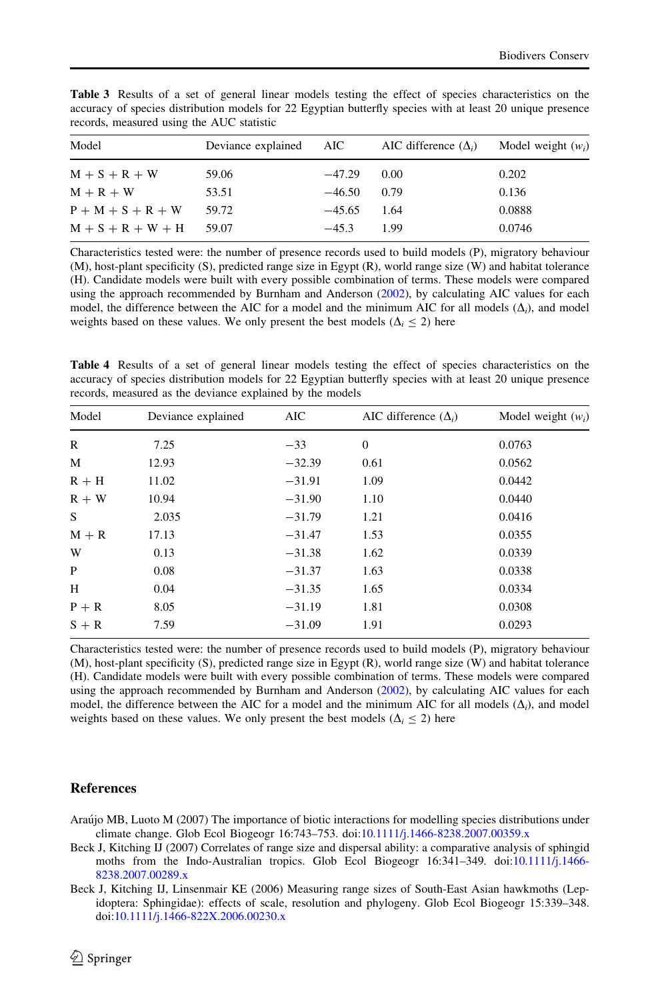<span id="page-9-0"></span>Table 3 Results of a set of general linear models testing the effect of species characteristics on the accuracy of species distribution models for 22 Egyptian butterfly species with at least 20 unique presence records, measured using the AUC statistic

| Model               | Deviance explained AIC |          | AIC difference $(\Delta_i)$ | Model weight $(w_i)$ |
|---------------------|------------------------|----------|-----------------------------|----------------------|
| $M + S + R + W$     | 59.06                  | $-47.29$ | 0.00                        | 0.202                |
| $M + R + W$         | 53.51                  | $-46.50$ | 0.79                        | 0.136                |
| $P + M + S + R + W$ | 59.72                  | $-45.65$ | 1.64                        | 0.0888               |
| $M + S + R + W + H$ | 59.07                  | $-45.3$  | 1.99                        | 0.0746               |

Characteristics tested were: the number of presence records used to build models (P), migratory behaviour (M), host-plant specificity (S), predicted range size in Egypt (R), world range size (W) and habitat tolerance (H). Candidate models were built with every possible combination of terms. These models were compared using the approach recommended by Burnham and Anderson ([2002\)](#page-10-0), by calculating AIC values for each model, the difference between the AIC for a model and the minimum AIC for all models  $(\Delta_i)$ , and model weights based on these values. We only present the best models ( $\Delta_i \le 2$ ) here

Table 4 Results of a set of general linear models testing the effect of species characteristics on the accuracy of species distribution models for 22 Egyptian butterfly species with at least 20 unique presence records, measured as the deviance explained by the models

| Model        | Deviance explained | AIC      | AIC difference $(\Delta_i)$ | Model weight $(w_i)$ |
|--------------|--------------------|----------|-----------------------------|----------------------|
| $\mathbb{R}$ | 7.25               | $-33$    | $\mathbf{0}$                | 0.0763               |
| M            | 12.93              | $-32.39$ | 0.61                        | 0.0562               |
| $R + H$      | 11.02              | $-31.91$ | 1.09                        | 0.0442               |
| $R + W$      | 10.94              | $-31.90$ | 1.10                        | 0.0440               |
| S            | 2.035              | $-31.79$ | 1.21                        | 0.0416               |
| $M + R$      | 17.13              | $-31.47$ | 1.53                        | 0.0355               |
| W            | 0.13               | $-31.38$ | 1.62                        | 0.0339               |
| P            | 0.08               | $-31.37$ | 1.63                        | 0.0338               |
| H            | 0.04               | $-31.35$ | 1.65                        | 0.0334               |
| $P + R$      | 8.05               | $-31.19$ | 1.81                        | 0.0308               |
| $S + R$      | 7.59               | $-31.09$ | 1.91                        | 0.0293               |
|              |                    |          |                             |                      |

Characteristics tested were: the number of presence records used to build models (P), migratory behaviour (M), host-plant specificity (S), predicted range size in Egypt (R), world range size (W) and habitat tolerance (H). Candidate models were built with every possible combination of terms. These models were compared using the approach recommended by Burnham and Anderson ([2002\)](#page-10-0), by calculating AIC values for each model, the difference between the AIC for a model and the minimum AIC for all models  $(\Delta_i)$ , and model weights based on these values. We only present the best models ( $\Delta_i \le 2$ ) here

# References

Arau´jo MB, Luoto M (2007) The importance of biotic interactions for modelling species distributions under climate change. Glob Ecol Biogeogr 16:743–753. doi[:10.1111/j.1466-8238.2007.00359.x](http://dx.doi.org/10.1111/j.1466-8238.2007.00359.x)

Beck J, Kitching IJ (2007) Correlates of range size and dispersal ability: a comparative analysis of sphingid moths from the Indo-Australian tropics. Glob Ecol Biogeogr 16:341–349. doi:[10.1111/j.1466-](http://dx.doi.org/10.1111/j.1466-8238.2007.00289.x) [8238.2007.00289.x](http://dx.doi.org/10.1111/j.1466-8238.2007.00289.x)

Beck J, Kitching IJ, Linsenmair KE (2006) Measuring range sizes of South-East Asian hawkmoths (Lepidoptera: Sphingidae): effects of scale, resolution and phylogeny. Glob Ecol Biogeogr 15:339–348. doi[:10.1111/j.1466-822X.2006.00230.x](http://dx.doi.org/10.1111/j.1466-822X.2006.00230.x)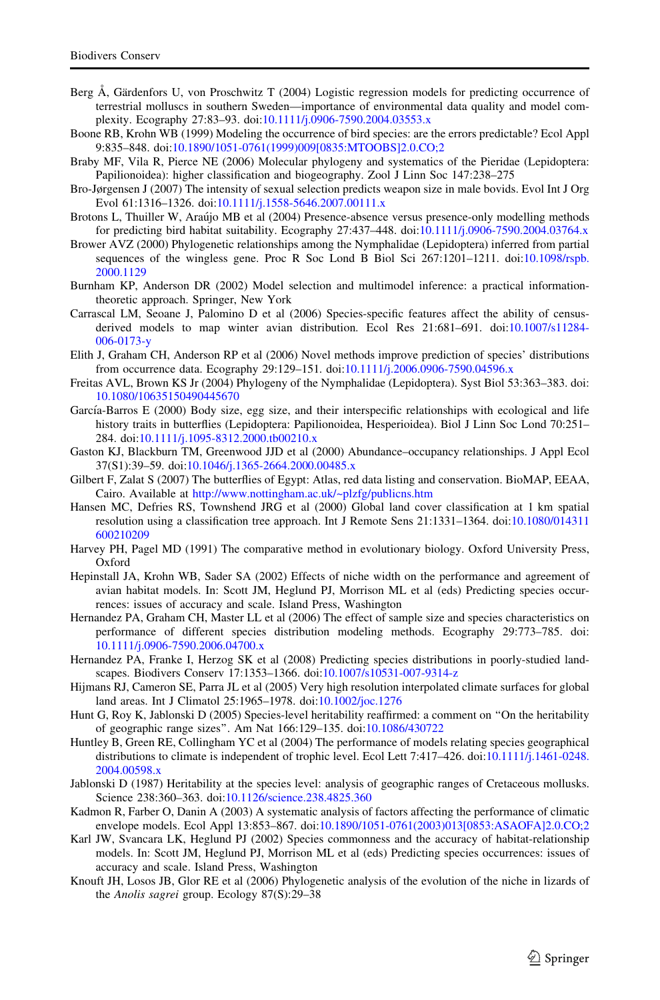- <span id="page-10-0"></span>Berg A, Gärdenfors U, von Proschwitz T (2004) Logistic regression models for predicting occurrence of terrestrial molluscs in southern Sweden—importance of environmental data quality and model complexity. Ecography 27:83–93. doi:[10.1111/j.0906-7590.2004.03553.x](http://dx.doi.org/10.1111/j.0906-7590.2004.03553.x)
- Boone RB, Krohn WB (1999) Modeling the occurrence of bird species: are the errors predictable? Ecol Appl 9:835–848. doi:[10.1890/1051-0761\(1999\)009\[0835:MTOOBS\]2.0.CO;2](http://dx.doi.org/10.1890/1051-0761(1999)009[0835:MTOOBS]2.0.CO;2)
- Braby MF, Vila R, Pierce NE (2006) Molecular phylogeny and systematics of the Pieridae (Lepidoptera: Papilionoidea): higher classification and biogeography. Zool J Linn Soc 147:238–275
- Bro-Jørgensen J (2007) The intensity of sexual selection predicts weapon size in male bovids. Evol Int J Org Evol 61:1316–1326. doi:[10.1111/j.1558-5646.2007.00111.x](http://dx.doi.org/10.1111/j.1558-5646.2007.00111.x)
- Brotons L, Thuiller W, Araújo MB et al (2004) Presence-absence versus presence-only modelling methods for predicting bird habitat suitability. Ecography 27:437–448. doi[:10.1111/j.0906-7590.2004.03764.x](http://dx.doi.org/10.1111/j.0906-7590.2004.03764.x)
- Brower AVZ (2000) Phylogenetic relationships among the Nymphalidae (Lepidoptera) inferred from partial sequences of the wingless gene. Proc R Soc Lond B Biol Sci 267:1201–1211. doi:[10.1098/rspb.](http://dx.doi.org/10.1098/rspb.2000.1129) [2000.1129](http://dx.doi.org/10.1098/rspb.2000.1129)
- Burnham KP, Anderson DR (2002) Model selection and multimodel inference: a practical informationtheoretic approach. Springer, New York
- Carrascal LM, Seoane J, Palomino D et al (2006) Species-specific features affect the ability of censusderived models to map winter avian distribution. Ecol Res 21:681–691. doi[:10.1007/s11284-](http://dx.doi.org/10.1007/s11284-006-0173-y) [006-0173-y](http://dx.doi.org/10.1007/s11284-006-0173-y)
- Elith J, Graham CH, Anderson RP et al (2006) Novel methods improve prediction of species' distributions from occurrence data. Ecography 29:129–151. doi:[10.1111/j.2006.0906-7590.04596.x](http://dx.doi.org/10.1111/j.2006.0906-7590.04596.x)
- Freitas AVL, Brown KS Jr (2004) Phylogeny of the Nymphalidae (Lepidoptera). Syst Biol 53:363–383. doi: [10.1080/10635150490445670](http://dx.doi.org/10.1080/10635150490445670)
- García-Barros E (2000) Body size, egg size, and their interspecific relationships with ecological and life history traits in butterflies (Lepidoptera: Papilionoidea, Hesperioidea). Biol J Linn Soc Lond 70:251– 284. doi:[10.1111/j.1095-8312.2000.tb00210.x](http://dx.doi.org/10.1111/j.1095-8312.2000.tb00210.x)
- Gaston KJ, Blackburn TM, Greenwood JJD et al (2000) Abundance–occupancy relationships. J Appl Ecol 37(S1):39–59. doi:[10.1046/j.1365-2664.2000.00485.x](http://dx.doi.org/10.1046/j.1365-2664.2000.00485.x)
- Gilbert F, Zalat S (2007) The butterflies of Egypt: Atlas, red data listing and conservation. BioMAP, EEAA, Cairo. Available at <http://www.nottingham.ac.uk/~plzfg/publicns.htm>
- Hansen MC, Defries RS, Townshend JRG et al (2000) Global land cover classification at 1 km spatial resolution using a classification tree approach. Int J Remote Sens 21:1331–1364. doi:[10.1080/014311](http://dx.doi.org/10.1080/014311600210209) [600210209](http://dx.doi.org/10.1080/014311600210209)
- Harvey PH, Pagel MD (1991) The comparative method in evolutionary biology. Oxford University Press, Oxford
- Hepinstall JA, Krohn WB, Sader SA (2002) Effects of niche width on the performance and agreement of avian habitat models. In: Scott JM, Heglund PJ, Morrison ML et al (eds) Predicting species occurrences: issues of accuracy and scale. Island Press, Washington
- Hernandez PA, Graham CH, Master LL et al (2006) The effect of sample size and species characteristics on performance of different species distribution modeling methods. Ecography 29:773–785. doi: [10.1111/j.0906-7590.2006.04700.x](http://dx.doi.org/10.1111/j.0906-7590.2006.04700.x)
- Hernandez PA, Franke I, Herzog SK et al (2008) Predicting species distributions in poorly-studied landscapes. Biodivers Conserv 17:1353–1366. doi[:10.1007/s10531-007-9314-z](http://dx.doi.org/10.1007/s10531-007-9314-z)
- Hijmans RJ, Cameron SE, Parra JL et al (2005) Very high resolution interpolated climate surfaces for global land areas. Int J Climatol 25:1965–1978. doi[:10.1002/joc.1276](http://dx.doi.org/10.1002/joc.1276)
- Hunt G, Roy K, Jablonski D (2005) Species-level heritability reaffirmed: a comment on ''On the heritability of geographic range sizes''. Am Nat 166:129–135. doi:[10.1086/430722](http://dx.doi.org/10.1086/430722)
- Huntley B, Green RE, Collingham YC et al (2004) The performance of models relating species geographical distributions to climate is independent of trophic level. Ecol Lett 7:417–426. doi:[10.1111/j.1461-0248.](http://dx.doi.org/10.1111/j.1461-0248.2004.00598.x) [2004.00598.x](http://dx.doi.org/10.1111/j.1461-0248.2004.00598.x)
- Jablonski D (1987) Heritability at the species level: analysis of geographic ranges of Cretaceous mollusks. Science 238:360–363. doi[:10.1126/science.238.4825.360](http://dx.doi.org/10.1126/science.238.4825.360)
- Kadmon R, Farber O, Danin A (2003) A systematic analysis of factors affecting the performance of climatic envelope models. Ecol Appl 13:853–867. doi:[10.1890/1051-0761\(2003\)013\[0853:ASAOFA\]2.0.CO;2](http://dx.doi.org/10.1890/1051-0761(2003)013[0853:ASAOFA]2.0.CO;2)
- Karl JW, Svancara LK, Heglund PJ (2002) Species commonness and the accuracy of habitat-relationship models. In: Scott JM, Heglund PJ, Morrison ML et al (eds) Predicting species occurrences: issues of accuracy and scale. Island Press, Washington
- Knouft JH, Losos JB, Glor RE et al (2006) Phylogenetic analysis of the evolution of the niche in lizards of the Anolis sagrei group. Ecology 87(S):29–38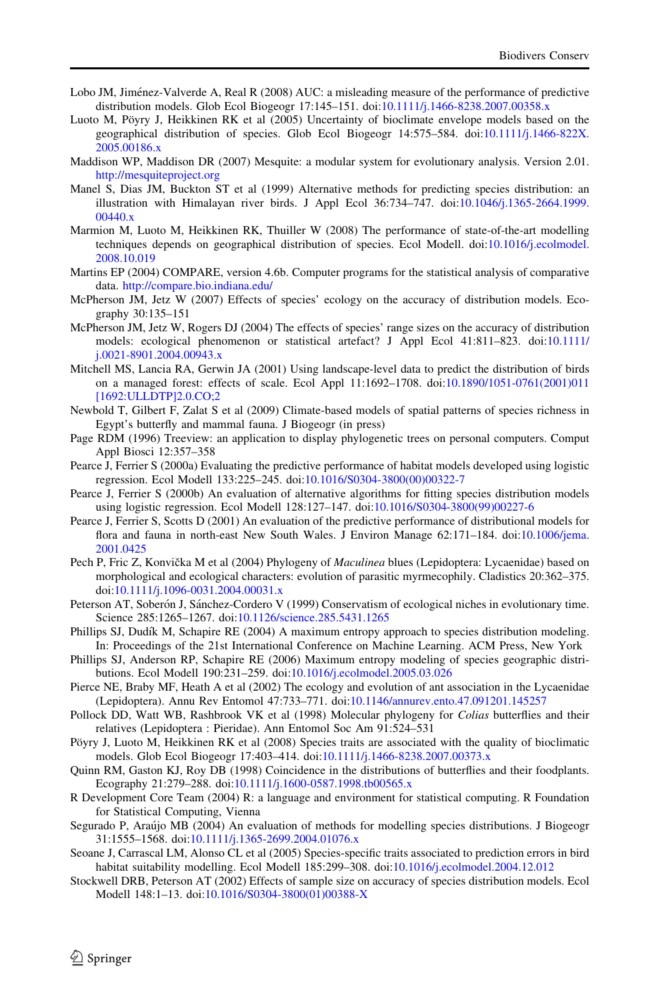- <span id="page-11-0"></span>Lobo JM, Jiménez-Valverde A, Real R (2008) AUC: a misleading measure of the performance of predictive distribution models. Glob Ecol Biogeogr 17:145–151. doi[:10.1111/j.1466-8238.2007.00358.x](http://dx.doi.org/10.1111/j.1466-8238.2007.00358.x)
- Luoto M, Pöyry J, Heikkinen RK et al (2005) Uncertainty of bioclimate envelope models based on the geographical distribution of species. Glob Ecol Biogeogr 14:575–584. doi[:10.1111/j.1466-822X.](http://dx.doi.org/10.1111/j.1466-822X.2005.00186.x) [2005.00186.x](http://dx.doi.org/10.1111/j.1466-822X.2005.00186.x)
- Maddison WP, Maddison DR (2007) Mesquite: a modular system for evolutionary analysis. Version 2.01. <http://mesquiteproject.org>
- Manel S, Dias JM, Buckton ST et al (1999) Alternative methods for predicting species distribution: an illustration with Himalayan river birds. J Appl Ecol 36:734–747. doi[:10.1046/j.1365-2664.1999.](http://dx.doi.org/10.1046/j.1365-2664.1999.00440.x)  $00440 x$
- Marmion M, Luoto M, Heikkinen RK, Thuiller W (2008) The performance of state-of-the-art modelling techniques depends on geographical distribution of species. Ecol Modell. doi[:10.1016/j.ecolmodel.](http://dx.doi.org/10.1016/j.ecolmodel.2008.10.019) [2008.10.019](http://dx.doi.org/10.1016/j.ecolmodel.2008.10.019)
- Martins EP (2004) COMPARE, version 4.6b. Computer programs for the statistical analysis of comparative data. <http://compare.bio.indiana.edu/>
- McPherson JM, Jetz W (2007) Effects of species' ecology on the accuracy of distribution models. Ecography 30:135–151
- McPherson JM, Jetz W, Rogers DJ (2004) The effects of species' range sizes on the accuracy of distribution models: ecological phenomenon or statistical artefact? J Appl Ecol 41:811–823. doi:[10.1111/](http://dx.doi.org/10.1111/j.0021-8901.2004.00943.x) [j.0021-8901.2004.00943.x](http://dx.doi.org/10.1111/j.0021-8901.2004.00943.x)
- Mitchell MS, Lancia RA, Gerwin JA (2001) Using landscape-level data to predict the distribution of birds on a managed forest: effects of scale. Ecol Appl 11:1692–1708. doi:[10.1890/1051-0761\(2001\)011](http://dx.doi.org/10.1890/1051-0761(2001)011[1692:ULLDTP]2.0.CO;2) [\[1692:ULLDTP\]2.0.CO;2](http://dx.doi.org/10.1890/1051-0761(2001)011[1692:ULLDTP]2.0.CO;2)
- Newbold T, Gilbert F, Zalat S et al (2009) Climate-based models of spatial patterns of species richness in Egypt's butterfly and mammal fauna. J Biogeogr (in press)
- Page RDM (1996) Treeview: an application to display phylogenetic trees on personal computers. Comput Appl Biosci 12:357–358
- Pearce J, Ferrier S (2000a) Evaluating the predictive performance of habitat models developed using logistic regression. Ecol Modell 133:225–245. doi[:10.1016/S0304-3800\(00\)00322-7](http://dx.doi.org/10.1016/S0304-3800(00)00322-7)
- Pearce J, Ferrier S (2000b) An evaluation of alternative algorithms for fitting species distribution models using logistic regression. Ecol Modell 128:127–147. doi[:10.1016/S0304-3800\(99\)00227-6](http://dx.doi.org/10.1016/S0304-3800(99)00227-6)
- Pearce J, Ferrier S, Scotts D (2001) An evaluation of the predictive performance of distributional models for flora and fauna in north-east New South Wales. J Environ Manage 62:171-184. doi:[10.1006/jema.](http://dx.doi.org/10.1006/jema.2001.0425) [2001.0425](http://dx.doi.org/10.1006/jema.2001.0425)
- Pech P, Fric Z, Konvička M et al (2004) Phylogeny of *Maculinea* blues (Lepidoptera: Lycaenidae) based on morphological and ecological characters: evolution of parasitic myrmecophily. Cladistics 20:362–375. doi[:10.1111/j.1096-0031.2004.00031.x](http://dx.doi.org/10.1111/j.1096-0031.2004.00031.x)
- Peterson AT, Soberón J, Sánchez-Cordero V (1999) Conservatism of ecological niches in evolutionary time. Science 285:1265–1267. doi[:10.1126/science.285.5431.1265](http://dx.doi.org/10.1126/science.285.5431.1265)
- Phillips SJ, Dudík M, Schapire RE (2004) A maximum entropy approach to species distribution modeling. In: Proceedings of the 21st International Conference on Machine Learning. ACM Press, New York
- Phillips SJ, Anderson RP, Schapire RE (2006) Maximum entropy modeling of species geographic distributions. Ecol Modell 190:231–259. doi:[10.1016/j.ecolmodel.2005.03.026](http://dx.doi.org/10.1016/j.ecolmodel.2005.03.026)
- Pierce NE, Braby MF, Heath A et al (2002) The ecology and evolution of ant association in the Lycaenidae (Lepidoptera). Annu Rev Entomol 47:733–771. doi[:10.1146/annurev.ento.47.091201.145257](http://dx.doi.org/10.1146/annurev.ento.47.091201.145257)
- Pollock DD, Watt WB, Rashbrook VK et al (1998) Molecular phylogeny for Colias butterflies and their relatives (Lepidoptera : Pieridae). Ann Entomol Soc Am 91:524–531
- Pöyry J, Luoto M, Heikkinen RK et al (2008) Species traits are associated with the quality of bioclimatic models. Glob Ecol Biogeogr 17:403–414. doi:[10.1111/j.1466-8238.2007.00373.x](http://dx.doi.org/10.1111/j.1466-8238.2007.00373.x)
- Quinn RM, Gaston KJ, Roy DB (1998) Coincidence in the distributions of butterflies and their foodplants. Ecography 21:279–288. doi[:10.1111/j.1600-0587.1998.tb00565.x](http://dx.doi.org/10.1111/j.1600-0587.1998.tb00565.x)
- R Development Core Team (2004) R: a language and environment for statistical computing. R Foundation for Statistical Computing, Vienna
- Segurado P, Araújo MB (2004) An evaluation of methods for modelling species distributions. J Biogeogr 31:1555–1568. doi:[10.1111/j.1365-2699.2004.01076.x](http://dx.doi.org/10.1111/j.1365-2699.2004.01076.x)
- Seoane J, Carrascal LM, Alonso CL et al (2005) Species-specific traits associated to prediction errors in bird habitat suitability modelling. Ecol Modell 185:299–308. doi:[10.1016/j.ecolmodel.2004.12.012](http://dx.doi.org/10.1016/j.ecolmodel.2004.12.012)
- Stockwell DRB, Peterson AT (2002) Effects of sample size on accuracy of species distribution models. Ecol Modell 148:1–13. doi:[10.1016/S0304-3800\(01\)00388-X](http://dx.doi.org/10.1016/S0304-3800(01)00388-X)